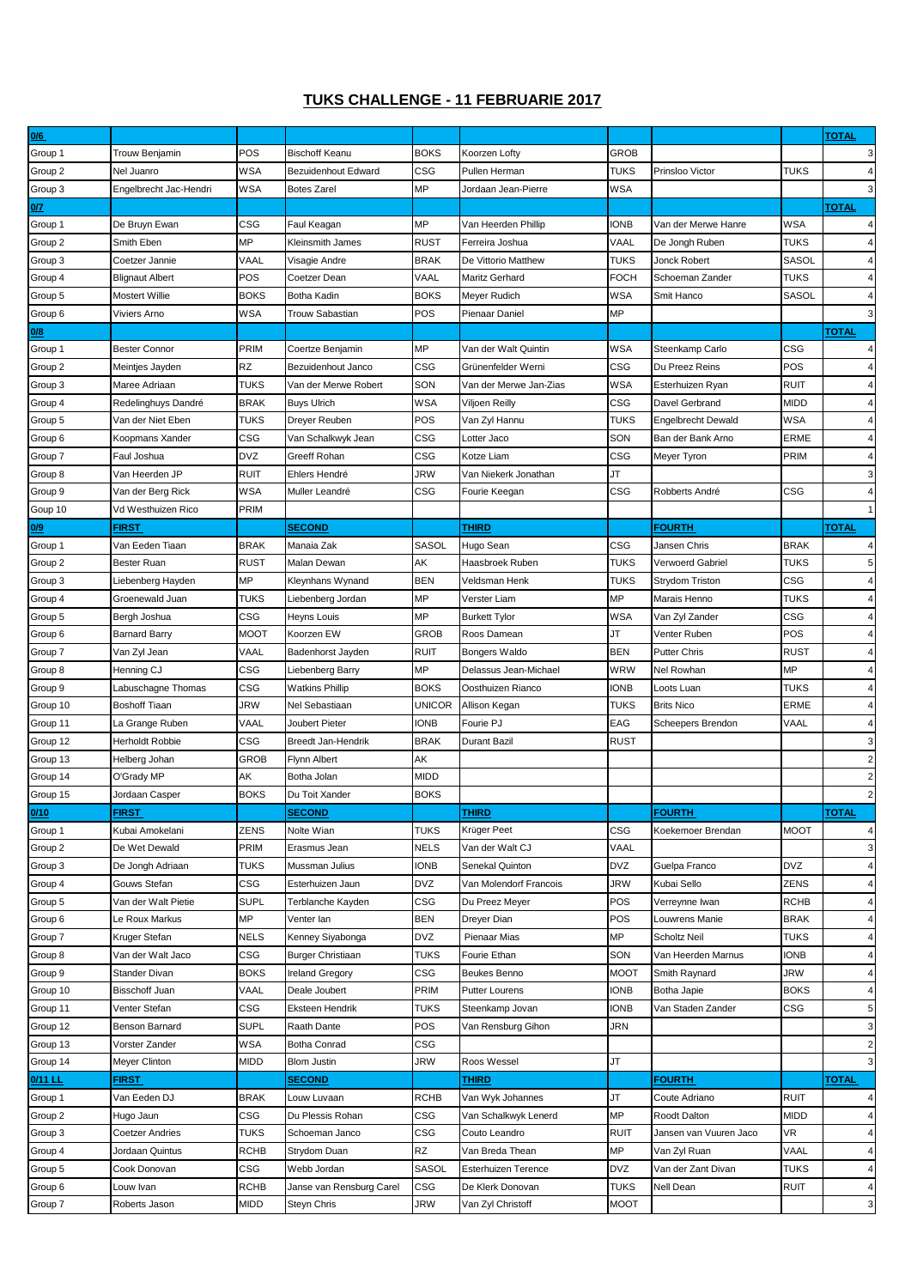## **TUKS CHALLENGE - 11 FEBRUARIE 2017**

| 0/6      |                                  |             |                           |              |                        |             |                           |              | <b>TOTAL</b>   |
|----------|----------------------------------|-------------|---------------------------|--------------|------------------------|-------------|---------------------------|--------------|----------------|
| Group 1  | Trouw Benjamin                   | POS         | <b>Bischoff Keanu</b>     | <b>BOKS</b>  | Koorzen Lofty          | <b>GROB</b> |                           |              | 3              |
| Group 2  | Nel Juanro                       | WSA         | Bezuidenhout Edward       | CSG          | Pullen Herman          | <b>TUKS</b> | Prinsloo Victor           | TUKS         | $\overline{4}$ |
| Group 3  | Engelbrecht Jac-Hendri           | WSA         | Botes Zarel               | MP           | Jordaan Jean-Pierre    | <b>WSA</b>  |                           |              | 3              |
| 0/7      |                                  |             |                           |              |                        |             |                           |              | <b>TOTAL</b>   |
| Group 1  | De Bruyn Ewan                    | CSG         | Faul Keagan               | MP           | Van Heerden Phillip    | <b>IONB</b> | Van der Merwe Hanre       | WSA          | $\overline{4}$ |
| Group 2  | Smith Eben                       | МP          | Kleinsmith James          | <b>RUST</b>  | Ferreira Joshua        | VAAL        | De Jongh Ruben            | TUKS         | $\overline{4}$ |
| Group 3  | Coetzer Jannie                   | VAAL        | Visagie Andre             | <b>BRAK</b>  | De Vittorio Matthew    | <b>TUKS</b> | Jonck Robert              | SASOL        | $\overline{4}$ |
| Group 4  | <b>Blignaut Albert</b>           | POS         | Coetzer Dean              | VAAL         | Maritz Gerhard         | <b>FOCH</b> | Schoeman Zander           | TUKS         | $\overline{4}$ |
| Group 5  | <b>Mostert Willie</b>            | <b>BOKS</b> | <b>Botha Kadin</b>        | <b>BOKS</b>  | Meyer Rudich           | <b>WSA</b>  | Smit Hanco                | <b>SASOL</b> | $\overline{4}$ |
| Group 6  | Viviers Arno                     | WSA         | Trouw Sabastian           | <b>POS</b>   | Pienaar Daniel         | MP          |                           |              | 3              |
| 0/8      |                                  |             |                           |              |                        |             |                           |              | <b>TOTAL</b>   |
| Group 1  | <b>Bester Connor</b>             | PRIM        | Coertze Benjamin          | MP           | Van der Walt Quintin   | <b>WSA</b>  | Steenkamp Carlo           | CSG          | $\overline{4}$ |
|          |                                  | RZ          | Bezuidenhout Janco        | CSG          | Grünenfelder Werni     | CSG         | Du Preez Reins            | POS          | $\overline{4}$ |
| Group 2  | Meintjes Jayden<br>Maree Adriaan | <b>TUKS</b> | Van der Merwe Robert      | SON          | Van der Merwe Jan-Zias | <b>WSA</b>  |                           | <b>RUIT</b>  | $\overline{4}$ |
| Group 3  |                                  |             |                           | <b>WSA</b>   |                        | CSG         | Esterhuizen Ryan          | MIDD         | $\overline{4}$ |
| Group 4  | Redelinghuys Dandré              | <b>BRAK</b> | <b>Buys Ulrich</b>        |              | Viljoen Reilly         |             | Davel Gerbrand            |              |                |
| Group 5  | Van der Niet Eben                | TUKS        | Dreyer Reuben             | POS          | Van Zyl Hannu          | <b>TUKS</b> | <b>Engelbrecht Dewald</b> | WSA          | $\overline{4}$ |
| Group 6  | Koopmans Xander                  | CSG         | Van Schalkwyk Jean        | CSG          | Lotter Jaco            | SON         | Ban der Bank Arno         | ERME         | $\overline{4}$ |
| Group 7  | Faul Joshua                      | DVZ         | Greeff Rohan              | CSG          | Kotze Liam             | <b>CSG</b>  | Meyer Tyron               | PRIM         | $\overline{4}$ |
| Group 8  | Van Heerden JP                   | RUIT        | Ehlers Hendré             | JRW          | Van Niekerk Jonathan   | JT          |                           |              | 3              |
| Group 9  | Van der Berg Rick                | WSA         | Muller Leandré            | CSG          | Fourie Keegan          | CSG         | Robberts André            | CSG          | $\overline{4}$ |
| Goup 10  | Vd Westhuizen Rico               | PRIM        |                           |              |                        |             |                           |              | $\mathbf{1}$   |
| 0/9      | FIRST                            |             | <b>SECOND</b>             |              | THIRD                  |             | <b>FOURTH</b>             |              | <b>TOTAL</b>   |
| Group 1  | Van Eeden Tiaan                  | <b>BRAK</b> | Manaia Zak                | <b>SASOL</b> | Hugo Sean              | CSG         | Jansen Chris              | <b>BRAK</b>  | $\overline{4}$ |
| Group 2  | Bester Ruan                      | <b>RUST</b> | Malan Dewan               | АK           | Haasbroek Ruben        | <b>TUKS</b> | Verwoerd Gabriel          | TUKS         | 5              |
| Group 3  | Liebenberg Hayden                | МP          | Kleynhans Wynand          | <b>BEN</b>   | Veldsman Henk          | <b>TUKS</b> | Strydom Triston           | CSG          | $\overline{4}$ |
| Group 4  | Groenewald Juan                  | TUKS        | Liebenberg Jordan         | MP           | Verster Liam           | MP          | Marais Henno              | TUKS         | $\overline{4}$ |
| Group 5  | Bergh Joshua                     | CSG         | Heyns Louis               | MP           | <b>Burkett Tylor</b>   | <b>WSA</b>  | Van Zyl Zander            | CSG          | $\overline{4}$ |
| Group 6  | <b>Barnard Barry</b>             | MOOT        | Koorzen EW                | <b>GROB</b>  | Roos Damean            | JT          | Venter Ruben              | POS          | $\overline{4}$ |
| Group 7  | Van Zyl Jean                     | VAAL        | Badenhorst Jayden         | <b>RUIT</b>  | Bongers Waldo          | <b>BEN</b>  | <b>Putter Chris</b>       | <b>RUST</b>  | 4              |
| Group 8  | Henning CJ                       | CSG         | Liebenberg Barry          | MP           | Delassus Jean-Michael  | WRW         | Nel Rowhan                | МP           | 4              |
| Group 9  | Labuschagne Thomas               | CSG         | Watkins Phillip           | <b>BOKS</b>  | Oosthuizen Rianco      | <b>IONB</b> | Loots Luan                | <b>TUKS</b>  | $\overline{4}$ |
| Group 10 | <b>Boshoff Tiaan</b>             | <b>JRW</b>  | Nel Sebastiaan            | UNICOR       | Allison Kegan          | <b>TUKS</b> | <b>Brits Nico</b>         | ERME         | $\overline{4}$ |
| Group 11 | La Grange Ruben                  | VAAL        | Joubert Pieter            | <b>IONB</b>  | Fourie PJ              | EAG         | Scheepers Brendon         | VAAL         | $\overline{4}$ |
| Group 12 | <b>Herholdt Robbie</b>           | CSG         | <b>Breedt Jan-Hendrik</b> | <b>BRAK</b>  | Durant Bazil           | <b>RUST</b> |                           |              | 3              |
| Group 13 | Helberg Johan                    | GROB        | Flynn Albert              | AΚ           |                        |             |                           |              | $\overline{2}$ |
| Group 14 | O'Grady MP                       | AΚ          | Botha Jolan               | MIDD         |                        |             |                           |              | $\overline{2}$ |
| Group 15 | Jordaan Casper                   | <b>BOKS</b> | Du Toit Xander            | <b>BOKS</b>  |                        |             |                           |              | $\overline{2}$ |
| 0/10     | <u>FIRST</u>                     |             | <u>SECOND</u>             |              | <u>THIRD</u>           |             | <u>FOURTH_</u>            |              | <u> ГОТАL</u>  |
| Group 1  | Kubai Amokelani                  | ZENS        | Nolte Wian                | TUKS         | Krüger Peet            | CSG         | Koekemoer Brendan         | MOOT         | $\overline{4}$ |
| Group 2  | De Wet Dewald                    | PRIM        | Erasmus Jean              | <b>NELS</b>  | Van der Walt CJ        | VAAL        |                           |              | 3              |
| Group 3  | De Jongh Adriaan                 | <b>TUKS</b> | Mussman Julius            | <b>IONB</b>  | Senekal Quinton        | <b>DVZ</b>  | Guelpa Franco             | DVZ          | 4              |
| Group 4  | Gouws Stefan                     | CSG         | Esterhuizen Jaun          | DVZ          | Van Molendorf Francois | <b>JRW</b>  | Kubai Sello               | ZENS         | $\overline{4}$ |
| Group 5  | Van der Walt Pietie              | <b>SUPL</b> | Terblanche Kayden         | CSG          | Du Preez Meyer         | POS         | Verreynne Iwan            | <b>RCHB</b>  | $\overline{4}$ |
| Group 6  | Le Roux Markus                   | МP          | Venter lan                | <b>BEN</b>   | Dreyer Dian            | POS         | Louwrens Manie            | <b>BRAK</b>  | $\overline{4}$ |
| Group 7  | Kruger Stefan                    | <b>NELS</b> | Kenney Siyabonga          | <b>DVZ</b>   | Pienaar Mias           | <b>MP</b>   | <b>Scholtz Neil</b>       | <b>TUKS</b>  | $\overline{4}$ |
| Group 8  | Van der Walt Jaco                | CSG         | <b>Burger Christiaan</b>  | <b>TUKS</b>  | Fourie Ethan           | SON         | Van Heerden Marnus        | <b>IONB</b>  | 4              |
| Group 9  | Stander Divan                    | <b>BOKS</b> | <b>Ireland Gregory</b>    | CSG          | Beukes Benno           | <b>MOOT</b> | Smith Raynard             | JRW          | $\overline{4}$ |
| Group 10 | Bisschoff Juan                   | VAAL        | Deale Joubert             | PRIM         | <b>Putter Lourens</b>  | <b>IONB</b> | Botha Japie               | <b>BOKS</b>  | $\overline{4}$ |
| Group 11 | Venter Stefan                    | CSG         | Eksteen Hendrik           | <b>TUKS</b>  | Steenkamp Jovan        | <b>IONB</b> | Van Staden Zander         | CSG          | 5              |
|          |                                  |             |                           |              |                        |             |                           |              |                |
| Group 12 | Benson Barnard                   | SUPL        | Raath Dante               | POS          | Van Rensburg Gihon     | JRN         |                           |              | 3              |
| Group 13 | Vorster Zander                   | WSA         | <b>Botha Conrad</b>       | CSG          |                        |             |                           |              | $\overline{2}$ |
| Group 14 | Meyer Clinton                    | MIDD        | <b>Blom Justin</b>        | JRW          | Roos Wessel            | JT          |                           |              | 3              |
| 0/11 LL  | FIRST                            |             | <b>SECOND</b>             |              | THIRD                  |             | <b>FOURTH</b>             |              | <b>TOTAL</b>   |
| Group 1  | Van Eeden DJ                     | <b>BRAK</b> | Louw Luvaan               | <b>RCHB</b>  | Van Wyk Johannes       | JT          | Coute Adriano             | RUIT         | 4              |
| Group 2  | Hugo Jaun                        | CSG         | Du Plessis Rohan          | CSG          | Van Schalkwyk Lenerd   | MP          | Roodt Dalton              | MIDD         | $\overline{4}$ |
| Group 3  | Coetzer Andries                  | <b>TUKS</b> | Schoeman Janco            | CSG          | Couto Leandro          | <b>RUIT</b> | Jansen van Vuuren Jaco    | VR           | $\overline{4}$ |
| Group 4  | Jordaan Quintus                  | <b>RCHB</b> | Strydom Duan              | RZ           | Van Breda Thean        | MP          | Van Zyl Ruan              | VAAL         | $\overline{4}$ |
| Group 5  | Cook Donovan                     | CSG         | Webb Jordan               | SASOL        | Esterhuizen Terence    | <b>DVZ</b>  | Van der Zant Divan        | TUKS         | $\overline{4}$ |
| Group 6  | Louw Ivan                        | <b>RCHB</b> | Janse van Rensburg Carel  | CSG          | De Klerk Donovan       | <b>TUKS</b> | Nell Dean                 | RUIT         | $\overline{4}$ |
| Group 7  | Roberts Jason                    | MIDD        | <b>Steyn Chris</b>        | <b>JRW</b>   | Van Zyl Christoff      | <b>MOOT</b> |                           |              | 3              |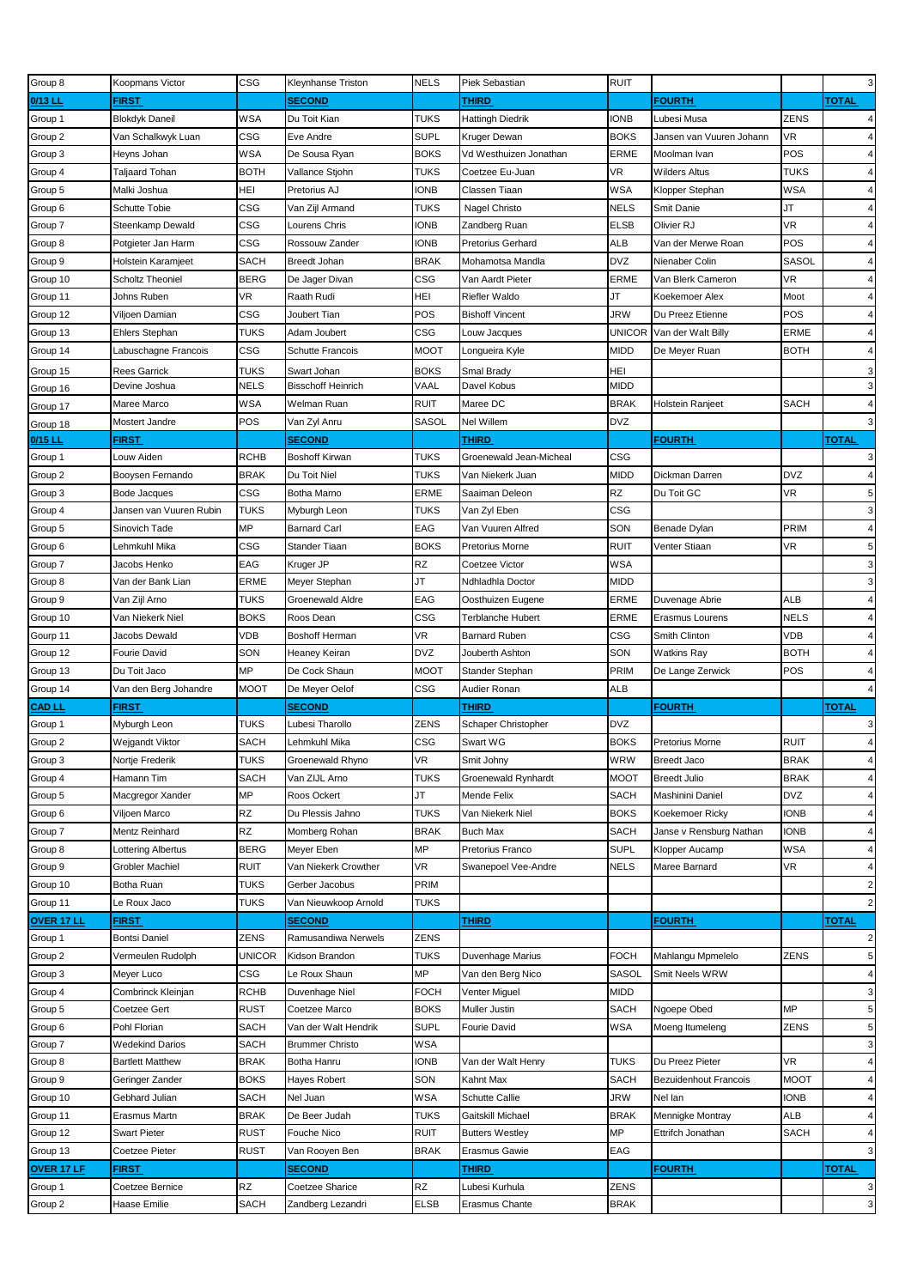| Group 8       | Koopmans Victor         | CSG           | Kleynhanse Triston        | <b>NELS</b>  | Piek Sebastian          | <b>RUIT</b>   |                              |             | $\mathbf{3}$                                                                                                                                                                                                                                                                                                                                                  |
|---------------|-------------------------|---------------|---------------------------|--------------|-------------------------|---------------|------------------------------|-------------|---------------------------------------------------------------------------------------------------------------------------------------------------------------------------------------------------------------------------------------------------------------------------------------------------------------------------------------------------------------|
| $0/13$ LI     | FIRST                   |               | <b>SECOND</b>             |              | THIRD                   |               | <b>FOURTH</b>                |             | <b>TOTAL</b>                                                                                                                                                                                                                                                                                                                                                  |
| Group 1       | <b>Blokdyk Daneil</b>   | WSA           | Du Toit Kian              | <b>TUKS</b>  | Hattingh Diedrik        | <b>IONB</b>   | Lubesi Musa                  | ZENS        | 4                                                                                                                                                                                                                                                                                                                                                             |
| Group 2       | Van Schalkwyk Luan      | CSG           | Eve Andre                 | <b>SUPL</b>  | Kruger Dewan            | <b>BOKS</b>   | Jansen van Vuuren Johann     | VR          | $\overline{4}$                                                                                                                                                                                                                                                                                                                                                |
| Group 3       | Heyns Johan             | WSA           | De Sousa Ryan             | <b>BOKS</b>  | Vd Westhuizen Jonathan  | ERME          | Moolman Ivan                 | POS         | $\overline{4}$                                                                                                                                                                                                                                                                                                                                                |
| Group 4       | Taljaard Tohan          | <b>BOTH</b>   | Vallance Stjohn           | <b>TUKS</b>  | Coetzee Eu-Juan         | VR            | <b>Wilders Altus</b>         | <b>TUKS</b> | $\overline{4}$                                                                                                                                                                                                                                                                                                                                                |
| Group 5       | Malki Joshua            | HEI           | Pretorius AJ              | <b>IONB</b>  | Classen Tiaan           | <b>WSA</b>    | Klopper Stephan              | WSA         | $\overline{4}$                                                                                                                                                                                                                                                                                                                                                |
|               | <b>Schutte Tobie</b>    | CSG           | Van Zijl Armand           | TUKS         | Nagel Christo           | <b>NELS</b>   | Smit Danie                   | JT          | $\overline{4}$                                                                                                                                                                                                                                                                                                                                                |
| Group 6       |                         |               |                           |              |                         |               |                              |             | $\overline{4}$                                                                                                                                                                                                                                                                                                                                                |
| Group 7       | Steenkamp Dewald        | CSG           | Lourens Chris             | ionb         | Zandberg Ruan           | <b>ELSB</b>   | Olivier RJ                   | VR          |                                                                                                                                                                                                                                                                                                                                                               |
| Group 8       | Potgieter Jan Harm      | CSG           | Rossouw Zander            | <b>IONB</b>  | Pretorius Gerhard       | <b>ALB</b>    | Van der Merwe Roan           | POS         | $\overline{4}$                                                                                                                                                                                                                                                                                                                                                |
| Group 9       | Holstein Karamjeet      | <b>SACH</b>   | Breedt Johan              | <b>BRAK</b>  | Mohamotsa Mandla        | <b>DVZ</b>    | Nienaber Colin               | SASOL       | $\overline{4}$                                                                                                                                                                                                                                                                                                                                                |
| Group 10      | <b>Scholtz Theoniel</b> | <b>BERG</b>   | De Jager Divan            | <b>CSG</b>   | Van Aardt Pieter        | ERME          | Van Blerk Cameron            | VR          | $\overline{4}$                                                                                                                                                                                                                                                                                                                                                |
| Group 11      | Johns Ruben             | VR            | Raath Rudi                | HEI          | Riefler Waldo           | JT            | Koekemoer Alex               | Moot        | $\overline{4}$                                                                                                                                                                                                                                                                                                                                                |
| Group 12      | Viljoen Damian          | CSG           | Joubert Tian              | POS          | <b>Bishoff Vincent</b>  | <b>JRW</b>    | Du Preez Etienne             | POS         | $\overline{4}$                                                                                                                                                                                                                                                                                                                                                |
| Group 13      | <b>Ehlers Stephan</b>   | <b>TUKS</b>   | Adam Joubert              | CSG          | Louw Jacques            | <b>UNICOR</b> | Van der Walt Billy           | ERME        | $\overline{4}$                                                                                                                                                                                                                                                                                                                                                |
| Group 14      | abuschagne Francois     | CSG           | <b>Schutte Francois</b>   | <b>MOOT</b>  | Longueira Kyle          | <b>MIDD</b>   | De Meyer Ruan                | <b>BOTH</b> | $\overline{4}$                                                                                                                                                                                                                                                                                                                                                |
| Group 15      | <b>Rees Garrick</b>     | <b>TUKS</b>   | Swart Johan               | <b>BOKS</b>  | Smal Brady              | HEI           |                              |             | 3                                                                                                                                                                                                                                                                                                                                                             |
| Group 16      | Devine Joshua           | <b>NELS</b>   | <b>Bisschoff Heinrich</b> | VAAL         | Davel Kobus             | <b>MIDD</b>   |                              |             | $\mathbf{3}$                                                                                                                                                                                                                                                                                                                                                  |
| Group 17      | Maree Marco             | WSA           | Welman Ruan               | <b>RUIT</b>  | Maree DC                | <b>BRAK</b>   | Holstein Ranjeet             | SACH        | $\overline{4}$                                                                                                                                                                                                                                                                                                                                                |
| Group 18      | Mostert Jandre          | POS           | Van Zyl Anru              | <b>SASOL</b> | Nel Willem              | <b>DVZ</b>    |                              |             | $\mathbf{3}$                                                                                                                                                                                                                                                                                                                                                  |
| 0/15 LL       | FIRST                   |               | <b>SECOND</b>             |              | THIRD                   |               | <b>FOURTH</b>                |             | <b>TOTAL</b>                                                                                                                                                                                                                                                                                                                                                  |
| Group 1       | _ouw Aiden              | <b>RCHB</b>   | <b>Boshoff Kirwan</b>     | TUKS         | Groenewald Jean-Micheal | <b>CSG</b>    |                              |             | 3                                                                                                                                                                                                                                                                                                                                                             |
| Group 2       | Booysen Fernando        | <b>BRAK</b>   | Du Toit Niel              | TUKS         | Van Niekerk Juan        | <b>MIDD</b>   | Dickman Darren               | <b>DVZ</b>  | $\overline{4}$                                                                                                                                                                                                                                                                                                                                                |
| Group 3       | Bode Jacques            | CSG           | Botha Marno               | ERME         | Saaiman Deleon          | RZ            | Du Toit GC                   | VR          | 5                                                                                                                                                                                                                                                                                                                                                             |
| Group 4       | Jansen van Vuuren Rubin | <b>TUKS</b>   | Myburgh Leon              | <b>TUKS</b>  | Van Zyl Eben            | CSG           |                              |             | 3                                                                                                                                                                                                                                                                                                                                                             |
| Group 5       | Sinovich Tade           | МP            | <b>Barnard Carl</b>       | EAG          | Van Vuuren Alfred       | SON           | Benade Dylan                 | PRIM        | $\overline{4}$                                                                                                                                                                                                                                                                                                                                                |
| Group 6       | Lehmkuhl Mika           | CSG           | Stander Tiaan             | <b>BOKS</b>  | Pretorius Morne         | <b>RUIT</b>   | Venter Stiaan                | VR          | 5                                                                                                                                                                                                                                                                                                                                                             |
| Group 7       | Jacobs Henko            | EAG           | Kruger JP                 | RZ           | Coetzee Victor          | WSA           |                              |             | $\mathbf{3}$                                                                                                                                                                                                                                                                                                                                                  |
| Group 8       | Van der Bank Lian       | ERME          | Meyer Stephan             | JT           | Ndhladhla Doctor        | <b>MIDD</b>   |                              |             | $\mathbf{3}$                                                                                                                                                                                                                                                                                                                                                  |
| Group 9       | Van Zijl Arno           | <b>TUKS</b>   | Groenewald Aldre          | EAG          | Oosthuizen Eugene       | ERME          | Duvenage Abrie               | ALB         | $\overline{4}$                                                                                                                                                                                                                                                                                                                                                |
| Group 10      | Van Niekerk Niel        | <b>BOKS</b>   | Roos Dean                 | CSG          | Terblanche Hubert       | <b>ERME</b>   | Erasmus Lourens              | <b>NELS</b> | $\overline{4}$                                                                                                                                                                                                                                                                                                                                                |
| Gourp 11      | Jacobs Dewald           | VDB           | <b>Boshoff Herman</b>     | <b>VR</b>    | <b>Barnard Ruben</b>    | CSG           | Smith Clinton                | VDB         | $\overline{4}$                                                                                                                                                                                                                                                                                                                                                |
|               |                         |               |                           |              |                         |               |                              |             |                                                                                                                                                                                                                                                                                                                                                               |
|               |                         |               |                           |              |                         |               |                              |             |                                                                                                                                                                                                                                                                                                                                                               |
| Group 12      | Fourie David            | SON           | Heaney Keiran             | <b>DVZ</b>   | Jouberth Ashton         | SON           | <b>Watkins Ray</b>           | <b>BOTH</b> |                                                                                                                                                                                                                                                                                                                                                               |
| Group 13      | Du Toit Jaco            | ΜP            | De Cock Shaun             | MOOT         | Stander Stephan         | PRIM          | De Lange Zerwick             | POS         |                                                                                                                                                                                                                                                                                                                                                               |
| Group 14      | Van den Berg Johandre   | MOOT          | De Meyer Oelof            | CSG          | Audier Ronan            | <b>ALB</b>    |                              |             |                                                                                                                                                                                                                                                                                                                                                               |
| <b>CAD LL</b> | FIRST                   |               | <b>SECOND</b>             |              | THIRD                   |               | <b>FOURTH</b>                |             | <b>TOTAL</b>                                                                                                                                                                                                                                                                                                                                                  |
| Group 1       | Myburgh Leon            | TUKS          | Lubesi Tharollo           | ZENS         | Schaper Christopher     | <b>DVZ</b>    |                              |             |                                                                                                                                                                                                                                                                                                                                                               |
| Group 2       | Wejgandt Viktor         | SACH          | Lehmkuhl Mika             | CSG          | Swart WG                | <b>BOKS</b>   | Pretorius Morne              | ruit        |                                                                                                                                                                                                                                                                                                                                                               |
| Group 3       | Nortje Frederik         | TUKS          | Groenewald Rhyno          | VR           | Smit Johny              | WRW           | Breedt Jaco                  | BRAK        |                                                                                                                                                                                                                                                                                                                                                               |
| Group 4       | Hamann Tim              | SACH          | Van ZIJL Arno             | <b>TUKS</b>  | Groenewald Rynhardt     | <b>MOOT</b>   | <b>Breedt Julio</b>          | <b>BRAK</b> |                                                                                                                                                                                                                                                                                                                                                               |
| Group 5       | Macgregor Xander        | MP            | Roos Ockert               | JT           | Mende Felix             | <b>SACH</b>   | Mashinini Daniel             | <b>DVZ</b>  |                                                                                                                                                                                                                                                                                                                                                               |
| Group 6       | Viljoen Marco           | RZ            | Du Plessis Jahno          | <b>TUKS</b>  | Van Niekerk Niel        | <b>BOKS</b>   | Koekemoer Ricky              | <b>IONB</b> |                                                                                                                                                                                                                                                                                                                                                               |
| Group 7       | Mentz Reinhard          | RZ            | Momberg Rohan             | <b>BRAK</b>  | Buch Max                | <b>SACH</b>   | Janse v Rensburg Nathan      | ionb        |                                                                                                                                                                                                                                                                                                                                                               |
| Group 8       | Lottering Albertus      | <b>BERG</b>   | Meyer Eben                | MP           | Pretorius Franco        | <b>SUPL</b>   | Klopper Aucamp               | <b>WSA</b>  |                                                                                                                                                                                                                                                                                                                                                               |
| Group 9       | <b>Grobler Machiel</b>  | <b>RUIT</b>   | Van Niekerk Crowther      | VR           | Swanepoel Vee-Andre     | <b>NELS</b>   | Maree Barnard                | VR          |                                                                                                                                                                                                                                                                                                                                                               |
| Group 10      | Botha Ruan              | <b>TUKS</b>   | Gerber Jacobus            | PRIM         |                         |               |                              |             |                                                                                                                                                                                                                                                                                                                                                               |
| Group 11      | Le Roux Jaco            | <b>TUKS</b>   | Van Nieuwkoop Arnold      | <b>TUKS</b>  |                         |               |                              |             |                                                                                                                                                                                                                                                                                                                                                               |
| OVER 17 LL    | FIRST                   |               | <b>SECOND</b>             |              | THIRD                   |               | <b>FOURTH</b>                |             | TOTAL                                                                                                                                                                                                                                                                                                                                                         |
| Group 1       | <b>Bontsi Daniel</b>    | ZENS          | Ramusandiwa Nerwels       | <b>ZENS</b>  |                         |               |                              |             |                                                                                                                                                                                                                                                                                                                                                               |
| Group 2       | Vermeulen Rudolph       | <b>UNICOR</b> | Kidson Brandon            | <b>TUKS</b>  | Duvenhage Marius        | <b>FOCH</b>   | Mahlangu Mpmelelo            | ZENS        |                                                                                                                                                                                                                                                                                                                                                               |
| Group 3       | Meyer Luco              | CSG           | Le Roux Shaun             | MP           | Van den Berg Nico       | <b>SASOL</b>  | Smit Neels WRW               |             |                                                                                                                                                                                                                                                                                                                                                               |
| Group 4       | Combrinck Kleinjan      | <b>RCHB</b>   | Duvenhage Niel            | <b>FOCH</b>  | Venter Miguel           | <b>MIDD</b>   |                              |             |                                                                                                                                                                                                                                                                                                                                                               |
| Group 5       | Coetzee Gert            | <b>RUST</b>   | Coetzee Marco             | <b>BOKS</b>  | Muller Justin           | <b>SACH</b>   | Ngoepe Obed                  | МP          |                                                                                                                                                                                                                                                                                                                                                               |
| Group 6       | Pohl Florian            | SACH          | Van der Walt Hendrik      | <b>SUPL</b>  | Fourie David            | WSA           | Moeng Itumeleng              | ZENS        |                                                                                                                                                                                                                                                                                                                                                               |
| Group 7       | <b>Wedekind Darios</b>  | SACH          | <b>Brummer Christo</b>    | <b>WSA</b>   |                         |               |                              |             |                                                                                                                                                                                                                                                                                                                                                               |
| Group 8       | <b>Bartlett Matthew</b> | <b>BRAK</b>   | Botha Hanru               | <b>IONB</b>  | Van der Walt Henry      | <b>TUKS</b>   | Du Preez Pieter              | VR          |                                                                                                                                                                                                                                                                                                                                                               |
| Group 9       | Geringer Zander         | <b>BOKS</b>   | Hayes Robert              | SON          | Kahnt Max               | <b>SACH</b>   | <b>Bezuidenhout Francois</b> | <b>MOOT</b> |                                                                                                                                                                                                                                                                                                                                                               |
| Group 10      | Gebhard Julian          | <b>SACH</b>   | Nel Juan                  | <b>WSA</b>   | <b>Schutte Callie</b>   | JRW           | Nel lan                      | <b>IONB</b> |                                                                                                                                                                                                                                                                                                                                                               |
| Group 11      | Erasmus Martn           | <b>BRAK</b>   | De Beer Judah             | <b>TUKS</b>  | Gaitskill Michael       | <b>BRAK</b>   | Mennigke Montray             | ALB         |                                                                                                                                                                                                                                                                                                                                                               |
| Group 12      | <b>Swart Pieter</b>     | <b>RUST</b>   | Fouche Nico               | <b>RUIT</b>  | <b>Butters Westley</b>  | ΜP            | Ettrifch Jonathan            | <b>SACH</b> |                                                                                                                                                                                                                                                                                                                                                               |
| Group 13      | Coetzee Pieter          | <b>RUST</b>   | Van Rooyen Ben            | <b>BRAK</b>  | Erasmus Gawie           | EAG           |                              |             |                                                                                                                                                                                                                                                                                                                                                               |
| OVER 17 LF    | <b>FIRST</b>            |               | <b>SECOND</b>             |              | <b>THIRD</b>            |               | <b>FOURTH</b>                |             | <b>TOTAL</b>                                                                                                                                                                                                                                                                                                                                                  |
| Group 1       | Coetzee Bernice         | RZ            | Coetzee Sharice           | <b>RZ</b>    | Lubesi Kurhula          | ZENS          |                              |             |                                                                                                                                                                                                                                                                                                                                                               |
| Group 2       | Haase Emilie            | <b>SACH</b>   | Zandberg Lezandri         | <b>ELSB</b>  | <b>Erasmus Chante</b>   | <b>BRAK</b>   |                              |             | $\overline{4}$<br>$\overline{4}$<br>$\overline{4}$<br>3<br>$\overline{4}$<br>4<br>$\overline{4}$<br>$\overline{4}$<br>$\overline{4}$<br>4<br>$\overline{4}$<br>4<br>$\overline{2}$<br>$\overline{2}$<br>$\overline{2}$<br>5<br>$\overline{4}$<br>3<br>5<br>5<br>3<br>$\overline{4}$<br>$\overline{4}$<br>$\overline{4}$<br>$\overline{4}$<br>4<br>3<br>3<br>3 |